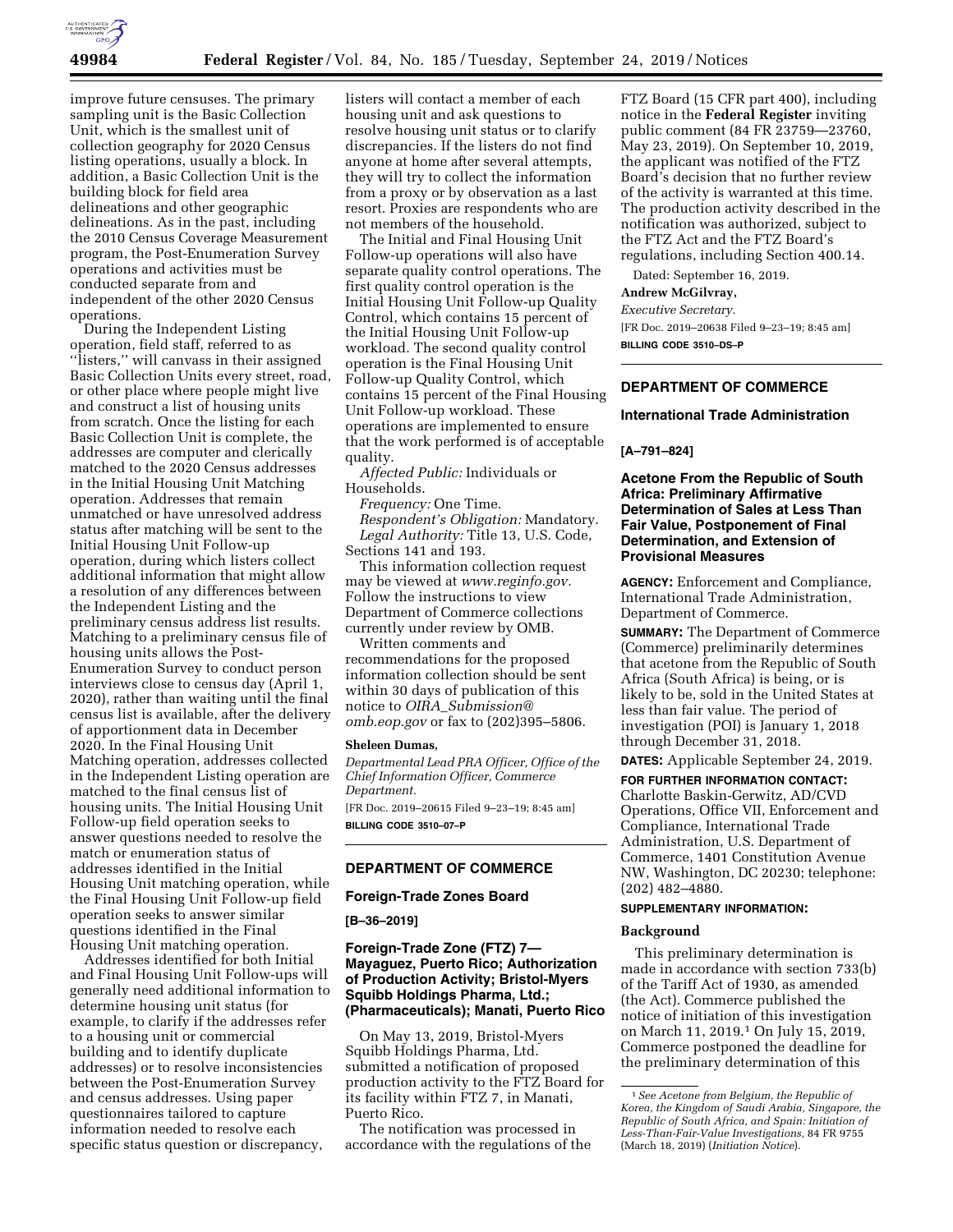

improve future censuses. The primary sampling unit is the Basic Collection Unit, which is the smallest unit of collection geography for 2020 Census listing operations, usually a block. In addition, a Basic Collection Unit is the building block for field area delineations and other geographic delineations. As in the past, including the 2010 Census Coverage Measurement program, the Post-Enumeration Survey operations and activities must be conducted separate from and independent of the other 2020 Census operations.

During the Independent Listing operation, field staff, referred to as "listers," will canvass in their assigned Basic Collection Units every street, road, or other place where people might live and construct a list of housing units from scratch. Once the listing for each Basic Collection Unit is complete, the addresses are computer and clerically matched to the 2020 Census addresses in the Initial Housing Unit Matching operation. Addresses that remain unmatched or have unresolved address status after matching will be sent to the Initial Housing Unit Follow-up operation, during which listers collect additional information that might allow a resolution of any differences between the Independent Listing and the preliminary census address list results. Matching to a preliminary census file of housing units allows the Post-Enumeration Survey to conduct person interviews close to census day (April 1, 2020), rather than waiting until the final census list is available, after the delivery of apportionment data in December 2020. In the Final Housing Unit Matching operation, addresses collected in the Independent Listing operation are matched to the final census list of housing units. The Initial Housing Unit Follow-up field operation seeks to answer questions needed to resolve the match or enumeration status of addresses identified in the Initial Housing Unit matching operation, while the Final Housing Unit Follow-up field operation seeks to answer similar questions identified in the Final Housing Unit matching operation.

Addresses identified for both Initial and Final Housing Unit Follow-ups will generally need additional information to determine housing unit status (for example, to clarify if the addresses refer to a housing unit or commercial building and to identify duplicate addresses) or to resolve inconsistencies between the Post-Enumeration Survey and census addresses. Using paper questionnaires tailored to capture information needed to resolve each specific status question or discrepancy,

listers will contact a member of each housing unit and ask questions to resolve housing unit status or to clarify discrepancies. If the listers do not find anyone at home after several attempts, they will try to collect the information from a proxy or by observation as a last resort. Proxies are respondents who are not members of the household.

The Initial and Final Housing Unit Follow-up operations will also have separate quality control operations. The first quality control operation is the Initial Housing Unit Follow-up Quality Control, which contains 15 percent of the Initial Housing Unit Follow-up workload. The second quality control operation is the Final Housing Unit Follow-up Quality Control, which contains 15 percent of the Final Housing Unit Follow-up workload. These operations are implemented to ensure that the work performed is of acceptable quality.

*Affected Public:* Individuals or Households.

*Frequency:* One Time.

*Respondent's Obligation:* Mandatory. *Legal Authority:* Title 13, U.S. Code, Sections 141 and 193.

This information collection request may be viewed at *[www.reginfo.gov.](http://www.reginfo.gov)*  Follow the instructions to view Department of Commerce collections currently under review by OMB.

Written comments and recommendations for the proposed information collection should be sent within 30 days of publication of this notice to *OIRA*\_*[Submission@](mailto:OIRA_Submission@omb.eop.gov) [omb.eop.gov](mailto:OIRA_Submission@omb.eop.gov)* or fax to (202)395–5806.

#### **Sheleen Dumas,**

*Departmental Lead PRA Officer, Office of the Chief Information Officer, Commerce Department.* 

[FR Doc. 2019–20615 Filed 9–23–19; 8:45 am] **BILLING CODE 3510–07–P** 

# **DEPARTMENT OF COMMERCE**

**Foreign-Trade Zones Board** 

**[B–36–2019]** 

# **Foreign-Trade Zone (FTZ) 7— Mayaguez, Puerto Rico; Authorization of Production Activity; Bristol-Myers Squibb Holdings Pharma, Ltd.; (Pharmaceuticals); Manati, Puerto Rico**

On May 13, 2019, Bristol-Myers Squibb Holdings Pharma, Ltd. submitted a notification of proposed production activity to the FTZ Board for its facility within FTZ 7, in Manati, Puerto Rico.

The notification was processed in accordance with the regulations of the FTZ Board (15 CFR part 400), including notice in the **Federal Register** inviting public comment (84 FR 23759—23760, May 23, 2019). On September 10, 2019, the applicant was notified of the FTZ Board's decision that no further review of the activity is warranted at this time. The production activity described in the notification was authorized, subject to the FTZ Act and the FTZ Board's regulations, including Section 400.14.

Dated: September 16, 2019.

#### **Andrew McGilvray,**

*Executive Secretary.* 

[FR Doc. 2019–20638 Filed 9–23–19; 8:45 am] **BILLING CODE 3510–DS–P** 

# **DEPARTMENT OF COMMERCE**

#### **International Trade Administration**

#### **[A–791–824]**

# **Acetone From the Republic of South Africa: Preliminary Affirmative Determination of Sales at Less Than Fair Value, Postponement of Final Determination, and Extension of Provisional Measures**

**AGENCY:** Enforcement and Compliance, International Trade Administration, Department of Commerce.

**SUMMARY:** The Department of Commerce (Commerce) preliminarily determines that acetone from the Republic of South Africa (South Africa) is being, or is likely to be, sold in the United States at less than fair value. The period of investigation (POI) is January 1, 2018 through December 31, 2018.

**DATES:** Applicable September 24, 2019.

**FOR FURTHER INFORMATION CONTACT:**  Charlotte Baskin-Gerwitz, AD/CVD Operations, Office VII, Enforcement and Compliance, International Trade Administration, U.S. Department of Commerce, 1401 Constitution Avenue NW, Washington, DC 20230; telephone: (202) 482–4880.

# **SUPPLEMENTARY INFORMATION:**

#### **Background**

This preliminary determination is made in accordance with section 733(b) of the Tariff Act of 1930, as amended (the Act). Commerce published the notice of initiation of this investigation on March 11, 2019.1 On July 15, 2019, Commerce postponed the deadline for the preliminary determination of this

<sup>1</sup>*See Acetone from Belgium, the Republic of Korea, the Kingdom of Saudi Arabia, Singapore, the Republic of South Africa, and Spain: Initiation of Less-Than-Fair-Value Investigations,* 84 FR 9755 (March 18, 2019) (*Initiation Notice*).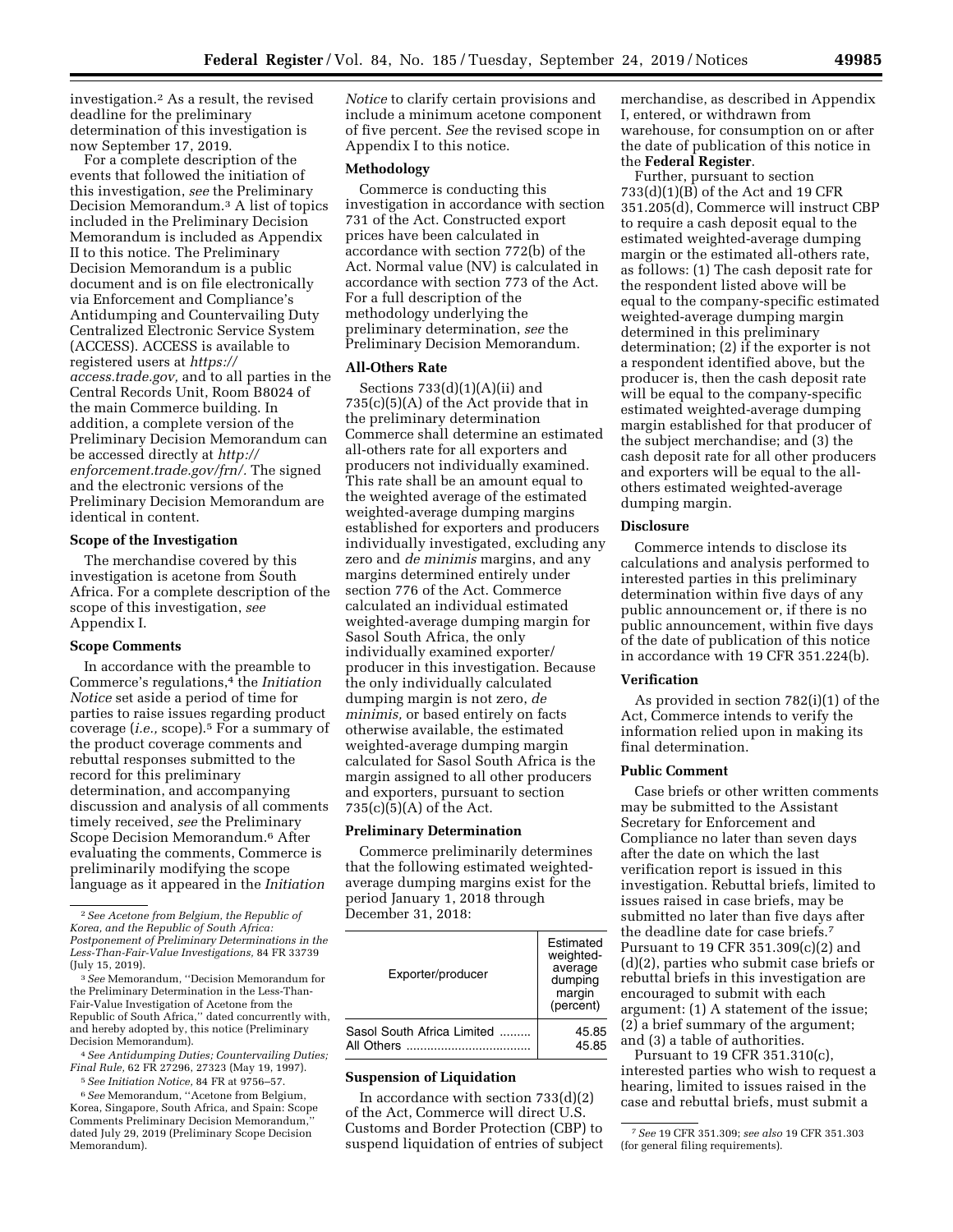investigation.2 As a result, the revised deadline for the preliminary determination of this investigation is now September 17, 2019.

For a complete description of the events that followed the initiation of this investigation, *see* the Preliminary Decision Memorandum.3 A list of topics included in the Preliminary Decision Memorandum is included as Appendix II to this notice. The Preliminary Decision Memorandum is a public document and is on file electronically via Enforcement and Compliance's Antidumping and Countervailing Duty Centralized Electronic Service System (ACCESS). ACCESS is available to registered users at *[https://](https://access.trade.gov) [access.trade.gov,](https://access.trade.gov)* and to all parties in the Central Records Unit, Room B8024 of the main Commerce building. In addition, a complete version of the Preliminary Decision Memorandum can be accessed directly at *[http://](http://enforcement.trade.gov/frn/) [enforcement.trade.gov/frn/.](http://enforcement.trade.gov/frn/)* The signed and the electronic versions of the Preliminary Decision Memorandum are identical in content.

### **Scope of the Investigation**

The merchandise covered by this investigation is acetone from South Africa. For a complete description of the scope of this investigation, *see*  Appendix I.

### **Scope Comments**

In accordance with the preamble to Commerce's regulations,4 the *Initiation Notice* set aside a period of time for parties to raise issues regarding product coverage (*i.e.,* scope).5 For a summary of the product coverage comments and rebuttal responses submitted to the record for this preliminary determination, and accompanying discussion and analysis of all comments timely received, *see* the Preliminary Scope Decision Memorandum.6 After evaluating the comments, Commerce is preliminarily modifying the scope language as it appeared in the *Initiation* 

3*See* Memorandum, ''Decision Memorandum for the Preliminary Determination in the Less-Than-Fair-Value Investigation of Acetone from the Republic of South Africa,'' dated concurrently with, and hereby adopted by, this notice (Preliminary Decision Memorandum).

4*See Antidumping Duties; Countervailing Duties; Final Rule,* 62 FR 27296, 27323 (May 19, 1997).

5*See Initiation Notice,* 84 FR at 9756–57.

6*See* Memorandum, ''Acetone from Belgium, Korea, Singapore, South Africa, and Spain: Scope Comments Preliminary Decision Memorandum,'' dated July 29, 2019 (Preliminary Scope Decision Memorandum).

*Notice* to clarify certain provisions and include a minimum acetone component of five percent. *See* the revised scope in Appendix I to this notice.

# **Methodology**

Commerce is conducting this investigation in accordance with section 731 of the Act. Constructed export prices have been calculated in accordance with section 772(b) of the Act. Normal value (NV) is calculated in accordance with section 773 of the Act. For a full description of the methodology underlying the preliminary determination, *see* the Preliminary Decision Memorandum.

### **All-Others Rate**

Sections 733(d)(1)(A)(ii) and 735(c)(5)(A) of the Act provide that in the preliminary determination Commerce shall determine an estimated all-others rate for all exporters and producers not individually examined. This rate shall be an amount equal to the weighted average of the estimated weighted-average dumping margins established for exporters and producers individually investigated, excluding any zero and *de minimis* margins, and any margins determined entirely under section 776 of the Act. Commerce calculated an individual estimated weighted-average dumping margin for Sasol South Africa, the only individually examined exporter/ producer in this investigation. Because the only individually calculated dumping margin is not zero, *de minimis,* or based entirely on facts otherwise available, the estimated weighted-average dumping margin calculated for Sasol South Africa is the margin assigned to all other producers and exporters, pursuant to section  $735(c)(5)(A)$  of the Act.

### **Preliminary Determination**

Commerce preliminarily determines that the following estimated weightedaverage dumping margins exist for the period January 1, 2018 through December 31, 2018:

| Exporter/producer          | Estimated<br>weighted-<br>average<br>dumping<br>margin<br>(percent) |
|----------------------------|---------------------------------------------------------------------|
| Sasol South Africa Limited | 45.85                                                               |
| All Others                 | 45.85                                                               |

### **Suspension of Liquidation**

In accordance with section  $733(d)(2)$ of the Act, Commerce will direct U.S. Customs and Border Protection (CBP) to suspend liquidation of entries of subject

merchandise, as described in Appendix I, entered, or withdrawn from warehouse, for consumption on or after the date of publication of this notice in the **Federal Register**.

Further, pursuant to section 733(d)(1)(B) of the Act and 19 CFR 351.205(d), Commerce will instruct CBP to require a cash deposit equal to the estimated weighted-average dumping margin or the estimated all-others rate, as follows: (1) The cash deposit rate for the respondent listed above will be equal to the company-specific estimated weighted-average dumping margin determined in this preliminary determination; (2) if the exporter is not a respondent identified above, but the producer is, then the cash deposit rate will be equal to the company-specific estimated weighted-average dumping margin established for that producer of the subject merchandise; and (3) the cash deposit rate for all other producers and exporters will be equal to the allothers estimated weighted-average dumping margin.

## **Disclosure**

Commerce intends to disclose its calculations and analysis performed to interested parties in this preliminary determination within five days of any public announcement or, if there is no public announcement, within five days of the date of publication of this notice in accordance with 19 CFR 351.224(b).

### **Verification**

As provided in section 782(i)(1) of the Act, Commerce intends to verify the information relied upon in making its final determination.

### **Public Comment**

Case briefs or other written comments may be submitted to the Assistant Secretary for Enforcement and Compliance no later than seven days after the date on which the last verification report is issued in this investigation. Rebuttal briefs, limited to issues raised in case briefs, may be submitted no later than five days after the deadline date for case briefs.7 Pursuant to 19 CFR 351.309(c)(2) and (d)(2), parties who submit case briefs or rebuttal briefs in this investigation are encouraged to submit with each argument: (1) A statement of the issue; (2) a brief summary of the argument; and (3) a table of authorities.

Pursuant to 19 CFR 351.310(c), interested parties who wish to request a hearing, limited to issues raised in the case and rebuttal briefs, must submit a

<sup>2</sup>*See Acetone from Belgium, the Republic of Korea, and the Republic of South Africa: Postponement of Preliminary Determinations in the Less-Than-Fair-Value Investigations,* 84 FR 33739 (July 15, 2019).

<sup>7</sup>*See* 19 CFR 351.309; *see also* 19 CFR 351.303 (for general filing requirements).